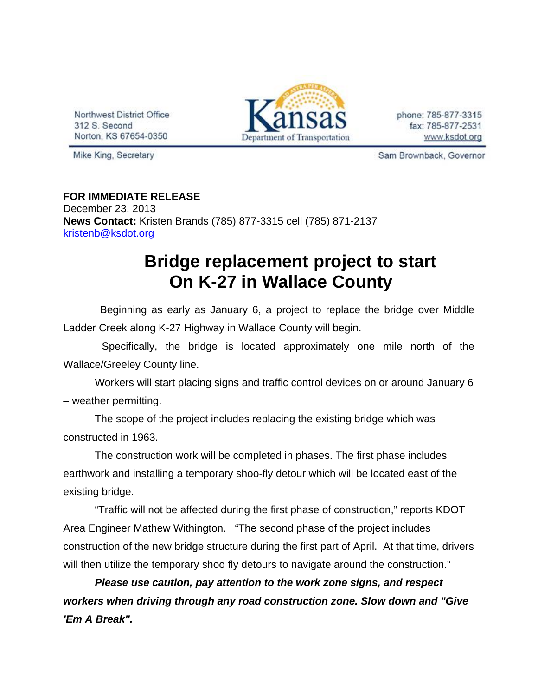Northwest District Office 312 S. Second Norton, KS 67654-0350



phone: 785-877-3315 fax: 785-877-2531 www.ksdot.org

Mike King, Secretary

Sam Brownback, Governor

## **FOR IMMEDIATE RELEASE**

December 23, 2013 **News Contact:** Kristen Brands (785) 877-3315 cell (785) 871-2137 kristenb@ksdot.org

## **Bridge replacement project to start On K-27 in Wallace County**

 Beginning as early as January 6, a project to replace the bridge over Middle Ladder Creek along K-27 Highway in Wallace County will begin.

 Specifically, the bridge is located approximately one mile north of the Wallace/Greeley County line.

Workers will start placing signs and traffic control devices on or around January 6 – weather permitting.

The scope of the project includes replacing the existing bridge which was constructed in 1963.

The construction work will be completed in phases. The first phase includes earthwork and installing a temporary shoo-fly detour which will be located east of the existing bridge.

"Traffic will not be affected during the first phase of construction," reports KDOT Area Engineer Mathew Withington. "The second phase of the project includes construction of the new bridge structure during the first part of April. At that time, drivers will then utilize the temporary shoo fly detours to navigate around the construction."

*Please use caution, pay attention to the work zone signs, and respect workers when driving through any road construction zone. Slow down and "Give 'Em A Break".*